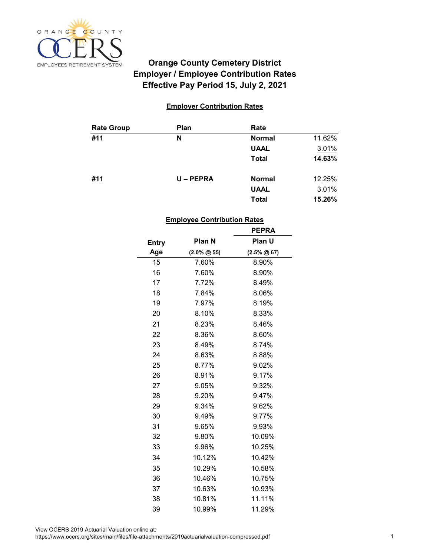

# **Employer / Employee Contribution Rates Effective Pay Period 15, July 2, 2021 Orange County Cemetery District**

## **Employer Contribution Rates**

| <b>Rate Group</b> | <b>Plan</b> | Rate          |        |
|-------------------|-------------|---------------|--------|
| #11               | N           | <b>Normal</b> | 11.62% |
|                   |             | <b>UAAL</b>   | 3.01%  |
|                   |             | <b>Total</b>  | 14.63% |
| #11               | U-PEPRA     | <b>Normal</b> | 12.25% |
|                   |             | <b>UAAL</b>   | 3.01%  |
|                   |             | <b>Total</b>  | 15.26% |

#### **Employee Contribution Rates**

|              |                  | <b>PEPRA</b>       |
|--------------|------------------|--------------------|
| <b>Entry</b> | Plan N           | Plan U             |
| Age          | $(2.0\% \ @ 55)$ | $(2.5\% \ @ \ 67)$ |
| 15           | 7.60%            | 8.90%              |
| 16           | 7.60%            | 8.90%              |
| 17           | 7.72%            | 8.49%              |
| 18           | 7.84%            | 8.06%              |
| 19           | 7.97%            | 8.19%              |
| 20           | 8.10%            | 8.33%              |
| 21           | 8.23%            | 8.46%              |
| 22           | 8.36%            | 8.60%              |
| 23           | 8.49%            | 8.74%              |
| 24           | 8.63%            | 8.88%              |
| 25           | 8.77%            | 9.02%              |
| 26           | 8.91%            | 9.17%              |
| 27           | 9.05%            | 9.32%              |
| 28           | 9.20%            | 9.47%              |
| 29           | 9.34%            | 9.62%              |
| 30           | 9.49%            | 9.77%              |
| 31           | 9.65%            | 9.93%              |
| 32           | 9.80%            | 10.09%             |
| 33           | 9.96%            | 10.25%             |
| 34           | 10.12%           | 10.42%             |
| 35           | 10.29%           | 10.58%             |
| 36           | 10.46%           | 10.75%             |
| 37           | 10.63%           | 10.93%             |
| 38           | 10.81%           | 11.11%             |
| 39           | 10.99%           | 11.29%             |

https://www.ocers.org/sites/main/files/file-attachments/2019actuarialvaluation-compressed.pdf 1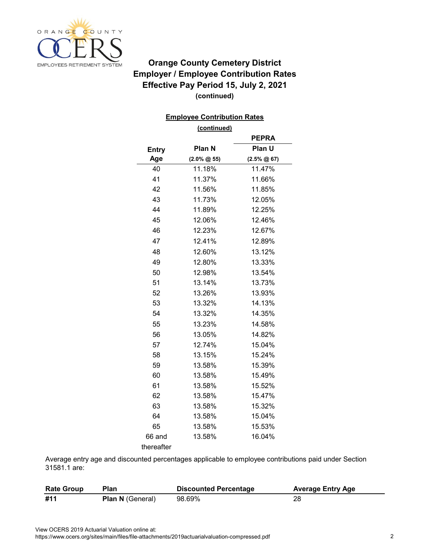

# **(continued) Orange County Cemetery District Employer / Employee Contribution Rates Effective Pay Period 15, July 2, 2021**

### **Employee Contribution Rates**

|              | (continued)      |                    |
|--------------|------------------|--------------------|
|              |                  | <b>PEPRA</b>       |
| <b>Entry</b> | Plan N           | Plan U             |
| Age          | $(2.0\% \ @ 55)$ | $(2.5\% \ @ \ 67)$ |
| 40           | 11.18%           | 11.47%             |
| 41           | 11.37%           | 11.66%             |
| 42           | 11.56%           | 11.85%             |
| 43           | 11.73%           | 12.05%             |
| 44           | 11.89%           | 12.25%             |
| 45           | 12.06%           | 12.46%             |
| 46           | 12.23%           | 12.67%             |
| 47           | 12.41%           | 12.89%             |
| 48           | 12.60%           | 13.12%             |
| 49           | 12.80%           | 13.33%             |
| 50           | 12.98%           | 13.54%             |
| 51           | 13.14%           | 13.73%             |
| 52           | 13.26%           | 13.93%             |
| 53           | 13.32%           | 14.13%             |
| 54           | 13.32%           | 14.35%             |
| 55           | 13.23%           | 14.58%             |
| 56           | 13.05%           | 14.82%             |
| 57           | 12.74%           | 15.04%             |
| 58           | 13.15%           | 15.24%             |
| 59           | 13.58%           | 15.39%             |
| 60           | 13.58%           | 15.49%             |
| 61           | 13.58%           | 15.52%             |
| 62           | 13.58%           | 15.47%             |
| 63           | 13.58%           | 15.32%             |
| 64           | 13.58%           | 15.04%             |
| 65           | 13.58%           | 15.53%             |
| 66 and       | 13.58%           | 16.04%             |
| thereafter   |                  |                    |

Average entry age and discounted percentages applicable to employee contributions paid under Section 31581.1 are:

| <b>Rate Group</b> | Plan                    | <b>Discounted Percentage</b> | <b>Average Entry Age</b> |
|-------------------|-------------------------|------------------------------|--------------------------|
| #11               | <b>Plan N</b> (General) | 98.69%                       | 28                       |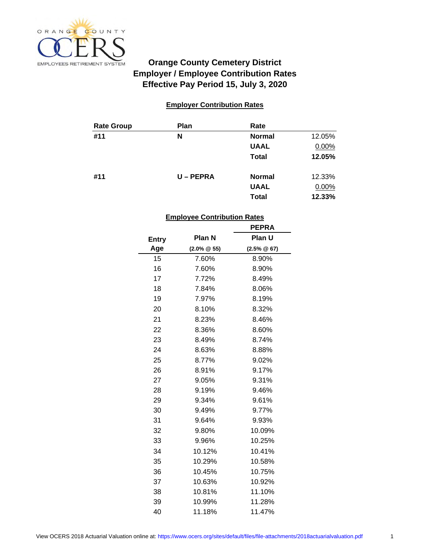

# **Employer / Employee Contribution Rates Effective Pay Period 15, July 3, 2020 Orange County Cemetery District**

### **Employer Contribution Rates**

| <b>Rate Group</b> | <b>Plan</b> | Rate          |        |
|-------------------|-------------|---------------|--------|
| #11               | N           | <b>Normal</b> | 12.05% |
|                   |             | <b>UAAL</b>   | 0.00%  |
|                   |             | <b>Total</b>  | 12.05% |
| #11               | $U - PEPRA$ | <b>Normal</b> | 12.33% |
|                   |             | <b>UAAL</b>   | 0.00%  |
|                   |             | <b>Total</b>  | 12.33% |

#### **Employee Contribution Rates**

|              |                  | <b>PEPRA</b>     |
|--------------|------------------|------------------|
| <b>Entry</b> | Plan N           | <b>Plan U</b>    |
| Age          | $(2.0\% \ @ 55)$ | $(2.5\% \ @ 67)$ |
| 15           | 7.60%            | 8.90%            |
| 16           | 7.60%            | 8.90%            |
| 17           | 7.72%            | 8.49%            |
| 18           | 7.84%            | 8.06%            |
| 19           | 7.97%            | 8.19%            |
| 20           | 8.10%            | 8.32%            |
| 21           | 8.23%            | 8.46%            |
| 22           | 8.36%            | 8.60%            |
| 23           | 8.49%            | 8.74%            |
| 24           | 8.63%            | 8.88%            |
| 25           | 8.77%            | 9.02%            |
| 26           | 8.91%            | 9.17%            |
| 27           | 9.05%            | 9.31%            |
| 28           | 9.19%            | 9.46%            |
| 29           | 9.34%            | 9.61%            |
| 30           | 9.49%            | 9.77%            |
| 31           | 9.64%            | 9.93%            |
| 32           | 9.80%            | 10.09%           |
| 33           | 9.96%            | 10.25%           |
| 34           | 10.12%           | 10.41%           |
| 35           | 10.29%           | 10.58%           |
| 36           | 10.45%           | 10.75%           |
| 37           | 10.63%           | 10.92%           |
| 38           | 10.81%           | 11.10%           |
| 39           | 10.99%           | 11.28%           |
| 40           | 11.18%           | 11.47%           |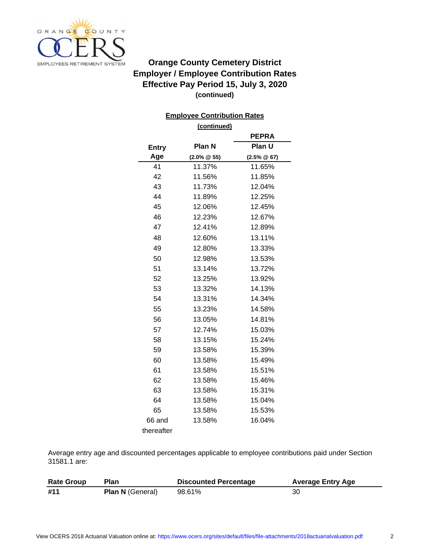

# **(continued) Orange County Cemetery District Employer / Employee Contribution Rates Effective Pay Period 15, July 3, 2020**

### **Employee Contribution Rates**

**(continued)**

|              |                  | <b>PEPRA</b>     |
|--------------|------------------|------------------|
| <b>Entry</b> | Plan N           | Plan U           |
| Age          | $(2.0\% \ @ 55)$ | $(2.5\% \ @ 67)$ |
| 41           | 11.37%           | 11.65%           |
| 42           | 11.56%           | 11.85%           |
| 43           | 11.73%           | 12.04%           |
| 44           | 11.89%           | 12.25%           |
| 45           | 12.06%           | 12.45%           |
| 46           | 12.23%           | 12.67%           |
| 47           | 12.41%           | 12.89%           |
| 48           | 12.60%           | 13.11%           |
| 49           | 12.80%           | 13.33%           |
| 50           | 12.98%           | 13.53%           |
| 51           | 13.14%           | 13.72%           |
| 52           | 13.25%           | 13.92%           |
| 53           | 13.32%           | 14.13%           |
| 54           | 13.31%           | 14.34%           |
| 55           | 13.23%           | 14.58%           |
| 56           | 13.05%           | 14.81%           |
| 57           | 12.74%           | 15.03%           |
| 58           | 13.15%           | 15.24%           |
| 59           | 13.58%           | 15.39%           |
| 60           | 13.58%           | 15.49%           |
| 61           | 13.58%           | 15.51%           |
| 62           | 13.58%           | 15.46%           |
| 63           | 13.58%           | 15.31%           |
| 64           | 13.58%           | 15.04%           |
| 65           | 13.58%           | 15.53%           |
| 66 and       | 13.58%           | 16.04%           |
| thereafter   |                  |                  |

Average entry age and discounted percentages applicable to employee contributions paid under Section 31581.1 are:

| <b>Rate Group</b> | Plan                    | <b>Discounted Percentage</b> | <b>Average Entry Age</b> |
|-------------------|-------------------------|------------------------------|--------------------------|
| #11               | <b>Plan N</b> (General) | 98.61%                       | 30                       |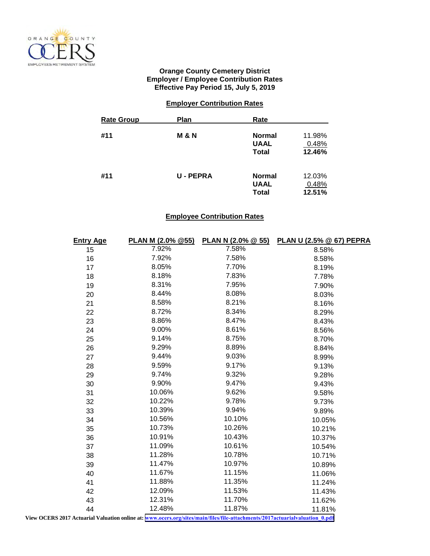

#### **Orange County Cemetery District Employer / Employee Contribution Rates Effective Pay Period 15, July 5, 2019**

### **Employer Contribution Rates**

| <b>Rate Group</b> | <b>Plan</b>    | Rate                                         |                           |
|-------------------|----------------|----------------------------------------------|---------------------------|
| #11               | M & N          | <b>Normal</b><br><b>UAAL</b><br><b>Total</b> | 11.98%<br>0.48%<br>12.46% |
| #11               | <b>U-PEPRA</b> | <b>Normal</b><br><b>UAAL</b><br><b>Total</b> | 12.03%<br>0.48%<br>12.51% |

## **Employee Contribution Rates**

| <b>Entry Age</b>                                                                                                            | PLAN M (2.0% @55) | <b>PLAN N (2.0% <math>@</math> 55)</b> | <b>PLAN U (2.5% @ 67) PEPRA</b> |  |
|-----------------------------------------------------------------------------------------------------------------------------|-------------------|----------------------------------------|---------------------------------|--|
| 15                                                                                                                          | 7.92%             | 7.58%                                  | 8.58%                           |  |
| 16                                                                                                                          | 7.92%             | 7.58%                                  | 8.58%                           |  |
| 17                                                                                                                          | 8.05%             | 7.70%                                  | 8.19%                           |  |
| 18                                                                                                                          | 8.18%             | 7.83%                                  | 7.78%                           |  |
| 19                                                                                                                          | 8.31%             | 7.95%                                  | 7.90%                           |  |
| 20                                                                                                                          | 8.44%             | 8.08%                                  | 8.03%                           |  |
| 21                                                                                                                          | 8.58%             | 8.21%                                  | 8.16%                           |  |
| 22                                                                                                                          | 8.72%             | 8.34%                                  | 8.29%                           |  |
| 23                                                                                                                          | 8.86%             | 8.47%                                  | 8.43%                           |  |
| 24                                                                                                                          | 9.00%             | 8.61%                                  | 8.56%                           |  |
| 25                                                                                                                          | 9.14%             | 8.75%                                  | 8.70%                           |  |
| 26                                                                                                                          | 9.29%             | 8.89%                                  | 8.84%                           |  |
| 27                                                                                                                          | 9.44%             | 9.03%                                  | 8.99%                           |  |
| 28                                                                                                                          | 9.59%             | 9.17%                                  | 9.13%                           |  |
| 29                                                                                                                          | 9.74%             | 9.32%                                  | 9.28%                           |  |
| 30                                                                                                                          | 9.90%             | 9.47%                                  | 9.43%                           |  |
| 31                                                                                                                          | 10.06%            | 9.62%                                  | 9.58%                           |  |
| 32                                                                                                                          | 10.22%            | 9.78%                                  | 9.73%                           |  |
| 33                                                                                                                          | 10.39%            | 9.94%                                  | 9.89%                           |  |
| 34                                                                                                                          | 10.56%            | 10.10%                                 | 10.05%                          |  |
| 35                                                                                                                          | 10.73%            | 10.26%                                 | 10.21%                          |  |
| 36                                                                                                                          | 10.91%            | 10.43%                                 | 10.37%                          |  |
| 37                                                                                                                          | 11.09%            | 10.61%                                 | 10.54%                          |  |
| 38                                                                                                                          | 11.28%            | 10.78%                                 | 10.71%                          |  |
| 39                                                                                                                          | 11.47%            | 10.97%                                 | 10.89%                          |  |
| 40                                                                                                                          | 11.67%            | 11.15%                                 | 11.06%                          |  |
| 41                                                                                                                          | 11.88%            | 11.35%                                 | 11.24%                          |  |
| 42                                                                                                                          | 12.09%            | 11.53%                                 | 11.43%                          |  |
| 43                                                                                                                          | 12.31%            | 11.70%                                 | 11.62%                          |  |
| 44                                                                                                                          | 12.48%            | 11.87%                                 | 11.81%                          |  |
| View OCERS 2017 Actuarial Valuation online at: www.ocers.org/sites/main/files/file-attachments/2017actuarialvaluation_0.pdf |                   |                                        |                                 |  |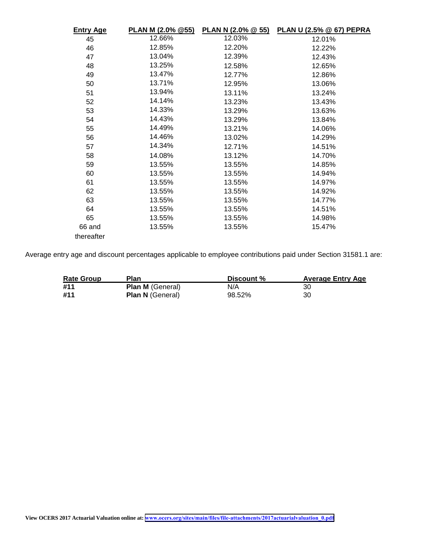| <b>Entry Age</b> | PLAN M (2.0% @55) |        | PLAN N (2.0% @ 55) PLAN U (2.5% @ 67) PEPRA |
|------------------|-------------------|--------|---------------------------------------------|
| 45               | 12.66%            | 12.03% | 12.01%                                      |
| 46               | 12.85%            | 12.20% | 12.22%                                      |
| 47               | 13.04%            | 12.39% | 12.43%                                      |
| 48               | 13.25%            | 12.58% | 12.65%                                      |
| 49               | 13.47%            | 12.77% | 12.86%                                      |
| 50               | 13.71%            | 12.95% | 13.06%                                      |
| 51               | 13.94%            | 13.11% | 13.24%                                      |
| 52               | 14.14%            | 13.23% | 13.43%                                      |
| 53               | 14.33%            | 13.29% | 13.63%                                      |
| 54               | 14.43%            | 13.29% | 13.84%                                      |
| 55               | 14.49%            | 13.21% | 14.06%                                      |
| 56               | 14.46%            | 13.02% | 14.29%                                      |
| 57               | 14.34%            | 12.71% | 14.51%                                      |
| 58               | 14.08%            | 13.12% | 14.70%                                      |
| 59               | 13.55%            | 13.55% | 14.85%                                      |
| 60               | 13.55%            | 13.55% | 14.94%                                      |
| 61               | 13.55%            | 13.55% | 14.97%                                      |
| 62               | 13.55%            | 13.55% | 14.92%                                      |
| 63               | 13.55%            | 13.55% | 14.77%                                      |
| 64               | 13.55%            | 13.55% | 14.51%                                      |
| 65               | 13.55%            | 13.55% | 14.98%                                      |
| 66 and           | 13.55%            | 13.55% | 15.47%                                      |
| thereafter       |                   |        |                                             |

Average entry age and discount percentages applicable to employee contributions paid under Section 31581.1 are:

| <b>Rate Group</b> | Plan                    | Discount % | <b>Average Entry Age</b> |
|-------------------|-------------------------|------------|--------------------------|
| #11               | <b>Plan M</b> (General) | N/A        | 30                       |
| #11               | <b>Plan N</b> (General) | 98.52%     | 30                       |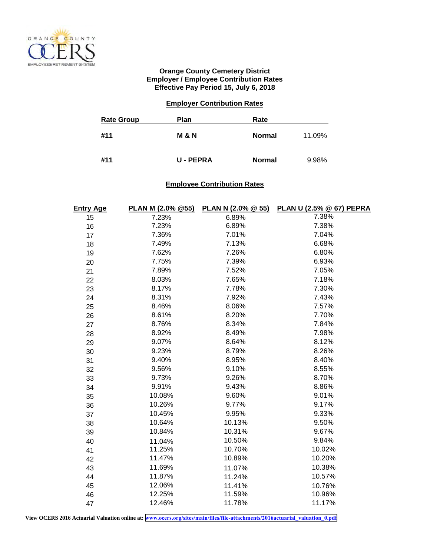

#### **Orange County Cemetery District Employer / Employee Contribution Rates Effective Pay Period 15, July 6, 2018**

#### **Employer Contribution Rates**

| <b>Rate Group</b> | <b>Plan</b>      | Rate          |        |
|-------------------|------------------|---------------|--------|
| #11               | <b>M &amp; N</b> | <b>Normal</b> | 11.09% |
| #11               | <b>U-PEPRA</b>   | <b>Normal</b> | 9.98%  |

#### **Employee Contribution Rates**

| <b>Entry Age</b> | PLAN M (2.0% @55) | PLAN N (2.0% @ 55) | PLAN U (2.5% @ 67) PEPRA |
|------------------|-------------------|--------------------|--------------------------|
| 15               | 7.23%             | 6.89%              | 7.38%                    |
| 16               | 7.23%             | 6.89%              | 7.38%                    |
| 17               | 7.36%             | 7.01%              | 7.04%                    |
| 18               | 7.49%             | 7.13%              | 6.68%                    |
| 19               | 7.62%             | 7.26%              | 6.80%                    |
| 20               | 7.75%             | 7.39%              | 6.93%                    |
| 21               | 7.89%             | 7.52%              | 7.05%                    |
| 22               | 8.03%             | 7.65%              | 7.18%                    |
| 23               | 8.17%             | 7.78%              | 7.30%                    |
| 24               | 8.31%             | 7.92%              | 7.43%                    |
| 25               | 8.46%             | 8.06%              | 7.57%                    |
| 26               | 8.61%             | 8.20%              | 7.70%                    |
| 27               | 8.76%             | 8.34%              | 7.84%                    |
| 28               | 8.92%             | 8.49%              | 7.98%                    |
| 29               | 9.07%             | 8.64%              | 8.12%                    |
| 30               | 9.23%             | 8.79%              | 8.26%                    |
| 31               | 9.40%             | 8.95%              | 8.40%                    |
| 32               | 9.56%             | 9.10%              | 8.55%                    |
| 33               | 9.73%             | 9.26%              | 8.70%                    |
| 34               | 9.91%             | 9.43%              | 8.86%                    |
| 35               | 10.08%            | 9.60%              | 9.01%                    |
| 36               | 10.26%            | 9.77%              | 9.17%                    |
| 37               | 10.45%            | 9.95%              | 9.33%                    |
| 38               | 10.64%            | 10.13%             | 9.50%                    |
| 39               | 10.84%            | 10.31%             | 9.67%                    |
| 40               | 11.04%            | 10.50%             | 9.84%                    |
| 41               | 11.25%            | 10.70%             | 10.02%                   |
| 42               | 11.47%            | 10.89%             | 10.20%                   |
| 43               | 11.69%            | 11.07%             | 10.38%                   |
| 44               | 11.87%            | 11.24%             | 10.57%                   |
| 45               | 12.06%            | 11.41%             | 10.76%                   |
| 46               | 12.25%            | 11.59%             | 10.96%                   |
| 47               | 12.46%            | 11.78%             | 11.17%                   |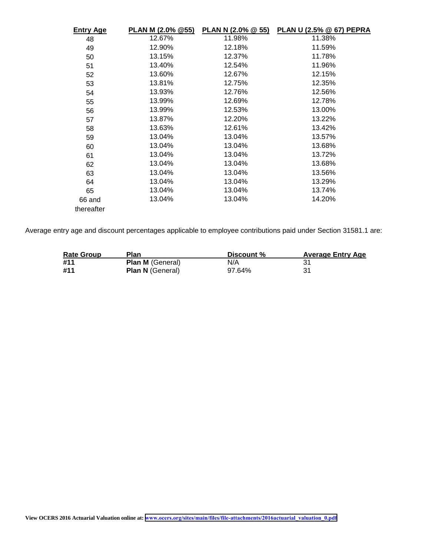| <u>Entry Age</u> | PLAN M (2.0% @55) | <b>PLAN N (2.0% @ 55)</b> | <b>PLAN U (2.5% @ 67) PEPRA</b> |
|------------------|-------------------|---------------------------|---------------------------------|
| 48               | 12.67%            | 11.98%                    | 11.38%                          |
| 49               | 12.90%            | 12.18%                    | 11.59%                          |
| 50               | 13.15%            | 12.37%                    | 11.78%                          |
| 51               | 13.40%            | 12.54%                    | 11.96%                          |
| 52               | 13.60%            | 12.67%                    | 12.15%                          |
| 53               | 13.81%            | 12.75%                    | 12.35%                          |
| 54               | 13.93%            | 12.76%                    | 12.56%                          |
| 55               | 13.99%            | 12.69%                    | 12.78%                          |
| 56               | 13.99%            | 12.53%                    | 13.00%                          |
| 57               | 13.87%            | 12.20%                    | 13.22%                          |
| 58               | 13.63%            | 12.61%                    | 13.42%                          |
| 59               | 13.04%            | 13.04%                    | 13.57%                          |
| 60               | 13.04%            | 13.04%                    | 13.68%                          |
| 61               | 13.04%            | 13.04%                    | 13.72%                          |
| 62               | 13.04%            | 13.04%                    | 13.68%                          |
| 63               | 13.04%            | 13.04%                    | 13.56%                          |
| 64               | 13.04%            | 13.04%                    | 13.29%                          |
| 65               | 13.04%            | 13.04%                    | 13.74%                          |
| 66 and           | 13.04%            | 13.04%                    | 14.20%                          |
| thereafter       |                   |                           |                                 |

Average entry age and discount percentages applicable to employee contributions paid under Section 31581.1 are:

| <b>Rate Group</b> | Plan                    | Discount % | <b>Average Entry Age</b> |
|-------------------|-------------------------|------------|--------------------------|
| #11               | <b>Plan M</b> (General) | N/A        |                          |
| #11               | <b>Plan N</b> (General) | 97.64%     | -31                      |